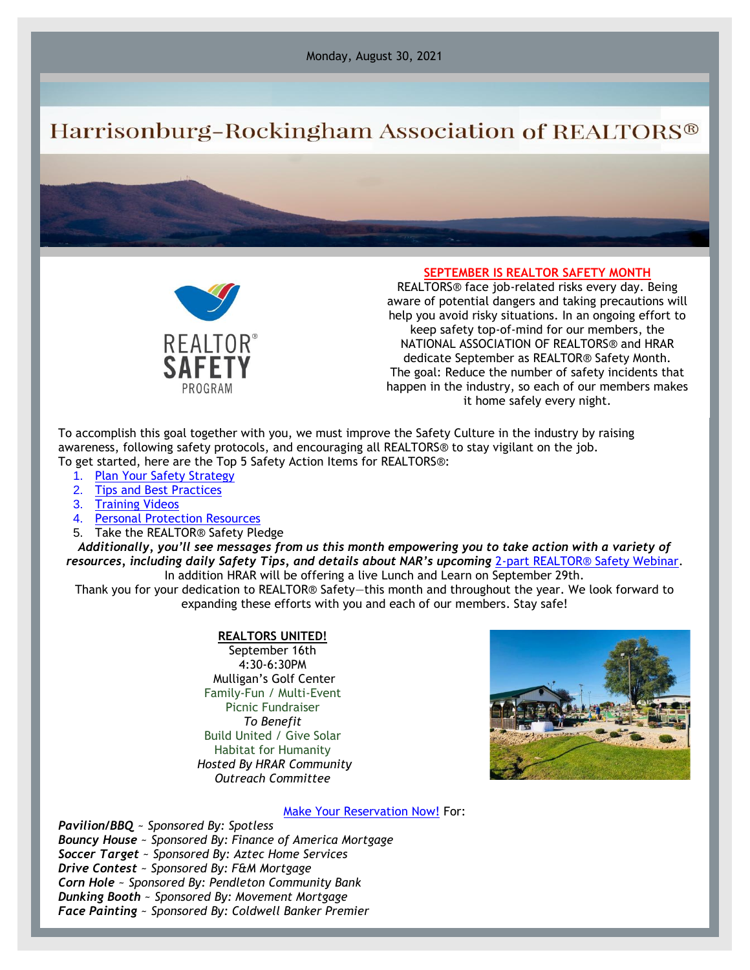Monday, August 30, 2021

# Harrisonburg-Rockingham Association of REALTORS®



### **SEPTEMBER IS REALTOR SAFETY MONTH**

REALTORS® face job-related risks every day. Being aware of potential dangers and taking precautions will help you avoid risky situations. In an ongoing effort to keep safety top-of-mind for our members, the NATIONAL ASSOCIATION OF REALTORS® and HRAR dedicate September as REALTOR® Safety Month. The goal: Reduce the number of safety incidents that happen in the industry, so each of our members makes it home safely every night.

To accomplish this goal together with you, we must improve the Safety Culture in the industry by raising awareness, following safety protocols, and encouraging all REALTORS® to stay vigilant on the job. To get started, here are the Top 5 Safety Action Items for REALTORS®:

- 1. [Plan Your Safety Strategy](https://www.nar.realtor/safety/planning-your-safety-strategy)
- 2. [Tips and Best Practices](https://www.nar.realtor/safety/realtor-safety-tips-from-nar)
- 3. [Training Videos](https://www.nar.realtor/safety/safety-videos)
- 4. [Personal Protection Resources](https://www.nar.realtor/safety/resources-for-personal-protection)
- 5. Take the REALTOR® Safety Pledge

*Additionally, you'll see messages from us this month empowering you to take action with a variety of resources, including daily Safety Tips, and details about NAR's upcoming* [2-part REALTOR® Safety Webinar.](https://www.nar.realtor/safety/safety-webinars) In addition HRAR will be offering a live Lunch and Learn on September 29th.

Thank you for your dedication to REALTOR® Safety—this month and throughout the year. We look forward to expanding these efforts with you and each of our members. Stay safe!

#### **REALTORS UNITED!**

September 16th 4:30-6:30PM Mulligan's Golf Center Family-Fun / Multi-Event Picnic Fundraiser *To Benefit* Build United / Give Solar Habitat for Humanity *Hosted By HRAR Community Outreach Committee*



#### [Make Your Reservation Now!](https://hrar.getlamps.net/) For:

*Pavilion/BBQ* ~ *Sponsored By: Spotless Bouncy House* ~ *Sponsored By: Finance of America Mortgage Soccer Target* ~ *Sponsored By: Aztec Home Services Drive Contest* ~ *Sponsored By: F&M Mortgage Corn Hole* ~ *Sponsored By: Pendleton Community Bank Dunking Booth* ~ *Sponsored By: Movement Mortgage Face Painting* ~ *Sponsored By: Coldwell Banker Premier*